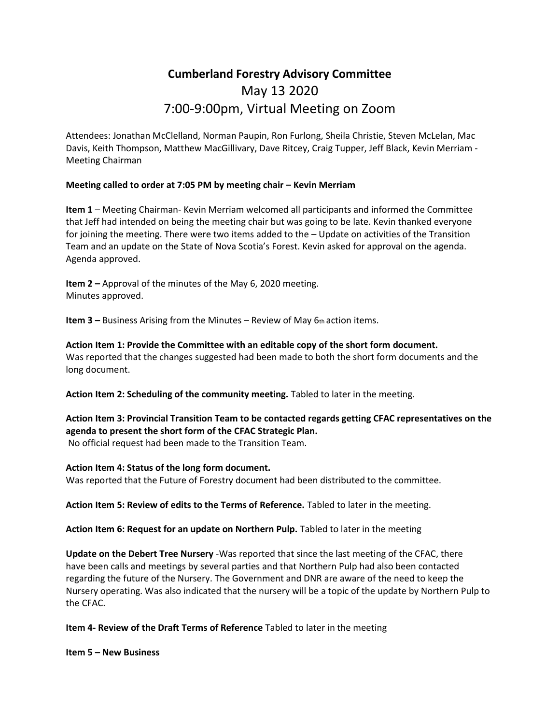# **Cumberland Forestry Advisory Committee** May 13 2020 7:00-9:00pm, Virtual Meeting on Zoom

Attendees: Jonathan McClelland, Norman Paupin, Ron Furlong, Sheila Christie, Steven McLelan, Mac Davis, Keith Thompson, Matthew MacGillivary, Dave Ritcey, Craig Tupper, Jeff Black, Kevin Merriam - Meeting Chairman

# **Meeting called to order at 7:05 PM by meeting chair – Kevin Merriam**

**Item 1** – Meeting Chairman- Kevin Merriam welcomed all participants and informed the Committee that Jeff had intended on being the meeting chair but was going to be late. Kevin thanked everyone for joining the meeting. There were two items added to the – Update on activities of the Transition Team and an update on the State of Nova Scotia's Forest. Kevin asked for approval on the agenda. Agenda approved.

**Item 2 –** Approval of the minutes of the May 6, 2020 meeting. Minutes approved.

**Item 3 –** Business Arising from the Minutes – Review of May 6th action items.

**Action Item 1: Provide the Committee with an editable copy of the short form document.** Was reported that the changes suggested had been made to both the short form documents and the long document.

**Action Item 2: Scheduling of the community meeting.** Tabled to later in the meeting.

**Action Item 3: Provincial Transition Team to be contacted regards getting CFAC representatives on the agenda to present the short form of the CFAC Strategic Plan.**

No official request had been made to the Transition Team.

### **Action Item 4: Status of the long form document.**

Was reported that the Future of Forestry document had been distributed to the committee.

**Action Item 5: Review of edits to the Terms of Reference.** Tabled to later in the meeting.

**Action Item 6: Request for an update on Northern Pulp.** Tabled to later in the meeting

**Update on the Debert Tree Nursery** -Was reported that since the last meeting of the CFAC, there have been calls and meetings by several parties and that Northern Pulp had also been contacted regarding the future of the Nursery. The Government and DNR are aware of the need to keep the Nursery operating. Was also indicated that the nursery will be a topic of the update by Northern Pulp to the CFAC.

**Item 4- Review of the Draft Terms of Reference** Tabled to later in the meeting

**Item 5 – New Business**